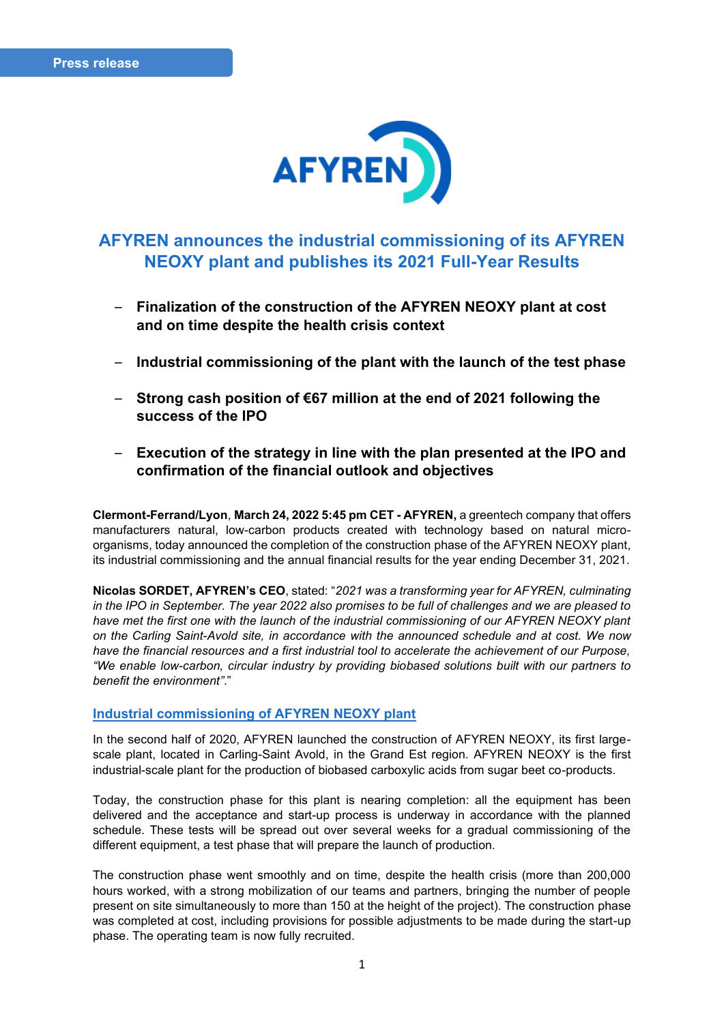

# **AFYREN announces the industrial commissioning of its AFYREN NEOXY plant and publishes its 2021 Full-Year Results**

- **Finalization of the construction of the AFYREN NEOXY plant at cost and on time despite the health crisis context**
- **Industrial commissioning of the plant with the launch of the test phase**
- **Strong cash position of €67 million at the end of 2021 following the success of the IPO**
- **Execution of the strategy in line with the plan presented at the IPO and confirmation of the financial outlook and objectives**

**Clermont-Ferrand/Lyon**, **March 24, 2022 5:45 pm CET - AFYREN,** a greentech company that offers manufacturers natural, low-carbon products created with technology based on natural microorganisms, today announced the completion of the construction phase of the AFYREN NEOXY plant, its industrial commissioning and the annual financial results for the year ending December 31, 2021.

**Nicolas SORDET, AFYREN's CEO**, stated: "*2021 was a transforming year for AFYREN, culminating in the IPO in September. The year 2022 also promises to be full of challenges and we are pleased to have met the first one with the launch of the industrial commissioning of our AFYREN NEOXY plant on the Carling Saint-Avold site, in accordance with the announced schedule and at cost. We now have the financial resources and a first industrial tool to accelerate the achievement of our Purpose, "We enable low-carbon, circular industry by providing biobased solutions built with our partners to benefit the environment"*."

### **Industrial commissioning of AFYREN NEOXY plant**

In the second half of 2020, AFYREN launched the construction of AFYREN NEOXY, its first largescale plant, located in Carling-Saint Avold, in the Grand Est region. AFYREN NEOXY is the first industrial-scale plant for the production of biobased carboxylic acids from sugar beet co-products.

Today, the construction phase for this plant is nearing completion: all the equipment has been delivered and the acceptance and start-up process is underway in accordance with the planned schedule. These tests will be spread out over several weeks for a gradual commissioning of the different equipment, a test phase that will prepare the launch of production.

The construction phase went smoothly and on time, despite the health crisis (more than 200,000 hours worked, with a strong mobilization of our teams and partners, bringing the number of people present on site simultaneously to more than 150 at the height of the project). The construction phase was completed at cost, including provisions for possible adjustments to be made during the start-up phase. The operating team is now fully recruited.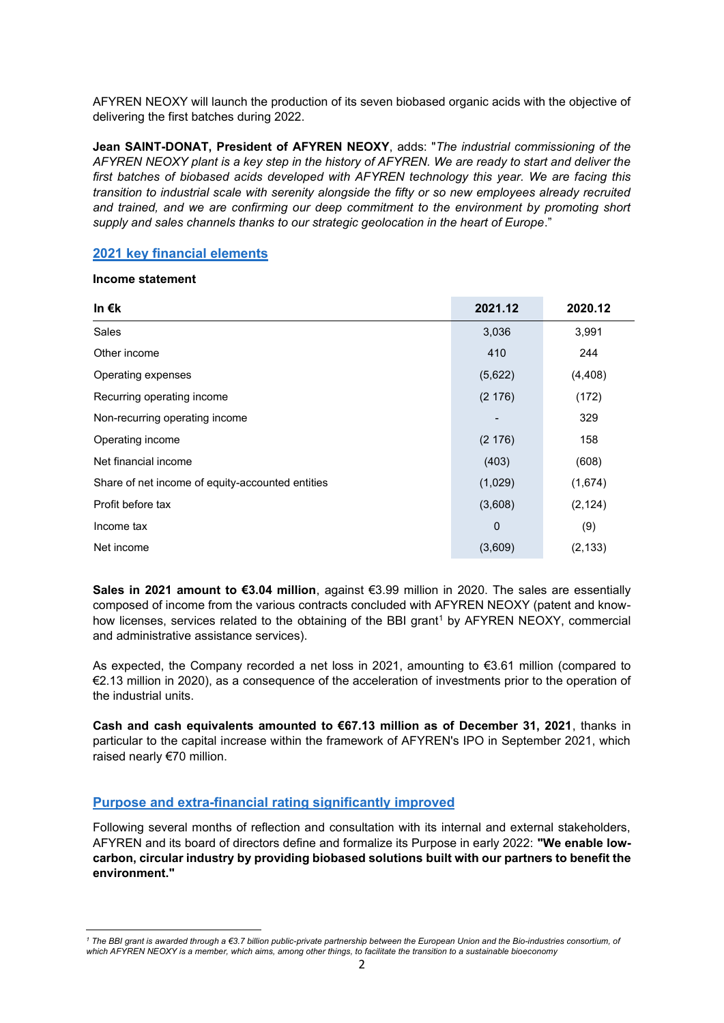AFYREN NEOXY will launch the production of its seven biobased organic acids with the objective of delivering the first batches during 2022.

**Jean SAINT-DONAT, President of AFYREN NEOXY**, adds: "*The industrial commissioning of the AFYREN NEOXY plant is a key step in the history of AFYREN. We are ready to start and deliver the first batches of biobased acids developed with AFYREN technology this year. We are facing this transition to industrial scale with serenity alongside the fifty or so new employees already recruited*  and trained, and we are confirming our deep commitment to the environment by promoting short *supply and sales channels thanks to our strategic geolocation in the heart of Europe*."

## **2021 key financial elements**

### **Income statement**

| In $\epsilon$ k                                  | 2021.12 | 2020.12  |
|--------------------------------------------------|---------|----------|
| Sales                                            | 3,036   | 3,991    |
| Other income                                     | 410     | 244      |
| Operating expenses                               | (5,622) | (4, 408) |
| Recurring operating income                       | (2176)  | (172)    |
| Non-recurring operating income                   |         | 329      |
| Operating income                                 | (2176)  | 158      |
| Net financial income                             | (403)   | (608)    |
| Share of net income of equity-accounted entities | (1,029) | (1,674)  |
| Profit before tax                                | (3,608) | (2, 124) |
| Income tax                                       | 0       | (9)      |
| Net income                                       | (3,609) | (2, 133) |

**Sales in 2021 amount to €3.04 million**, against €3.99 million in 2020. The sales are essentially composed of income from the various contracts concluded with AFYREN NEOXY (patent and knowhow licenses, services related to the obtaining of the BBI grant<sup>1</sup> by AFYREN NEOXY, commercial and administrative assistance services).

As expected, the Company recorded a net loss in 2021, amounting to €3.61 million (compared to €2.13 million in 2020), as a consequence of the acceleration of investments prior to the operation of the industrial units.

**Cash and cash equivalents amounted to €67.13 million as of December 31, 2021**, thanks in particular to the capital increase within the framework of AFYREN's IPO in September 2021, which raised nearly €70 million.

## **Purpose and extra-financial rating significantly improved**

Following several months of reflection and consultation with its internal and external stakeholders, AFYREN and its board of directors define and formalize its Purpose in early 2022: **"We enable lowcarbon, circular industry by providing biobased solutions built with our partners to benefit the environment."**

*<sup>1</sup> The BBI grant is awarded through a €3.7 billion public-private partnership between the European Union and the Bio-industries consortium, of which AFYREN NEOXY is a member, which aims, among other things, to facilitate the transition to a sustainable bioeconomy*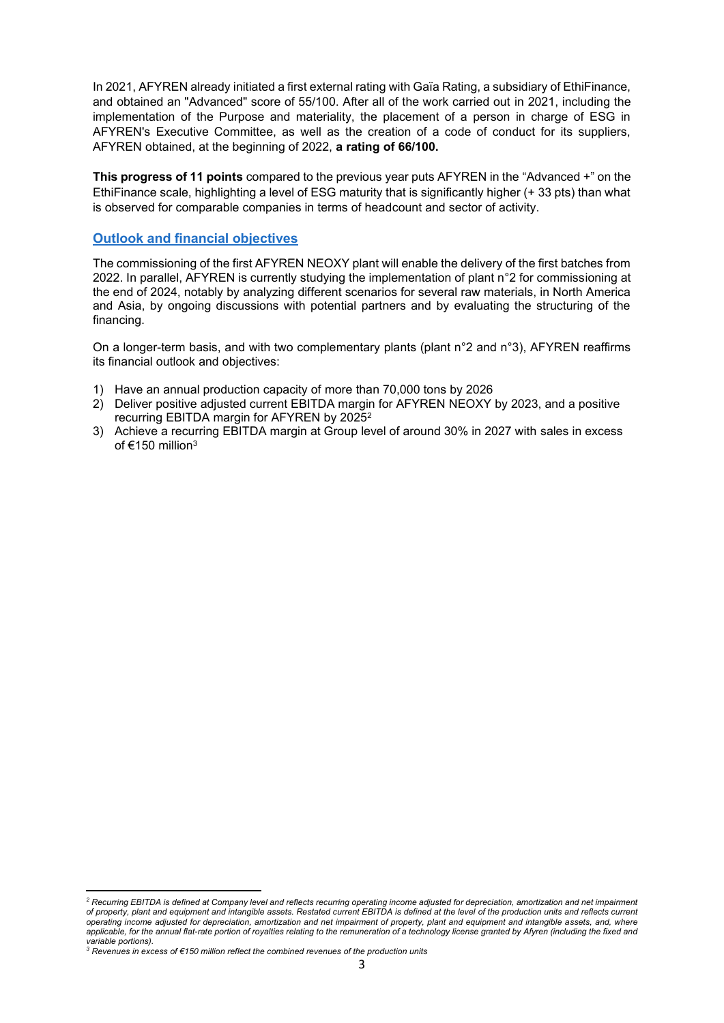In 2021, AFYREN already initiated a first external rating with Gaïa Rating, a subsidiary of EthiFinance, and obtained an "Advanced" score of 55/100. After all of the work carried out in 2021, including the implementation of the Purpose and materiality, the placement of a person in charge of ESG in AFYREN's Executive Committee, as well as the creation of a code of conduct for its suppliers, AFYREN obtained, at the beginning of 2022, **a rating of 66/100.**

**This progress of 11 points** compared to the previous year puts AFYREN in the "Advanced +" on the EthiFinance scale, highlighting a level of ESG maturity that is significantly higher (+ 33 pts) than what is observed for comparable companies in terms of headcount and sector of activity.

### **Outlook and financial objectives**

The commissioning of the first AFYREN NEOXY plant will enable the delivery of the first batches from 2022. In parallel, AFYREN is currently studying the implementation of plant n°2 for commissioning at the end of 2024, notably by analyzing different scenarios for several raw materials, in North America and Asia, by ongoing discussions with potential partners and by evaluating the structuring of the financing.

On a longer-term basis, and with two complementary plants (plant n°2 and n°3), AFYREN reaffirms its financial outlook and objectives:

- 1) Have an annual production capacity of more than 70,000 tons by 2026
- 2) Deliver positive adjusted current EBITDA margin for AFYREN NEOXY by 2023, and a positive recurring EBITDA margin for AFYREN by 2025<sup>2</sup>
- 3) Achieve a recurring EBITDA margin at Group level of around 30% in 2027 with sales in excess of €150 million<sup>3</sup>

*<sup>2</sup> Recurring EBITDA is defined at Company level and reflects recurring operating income adjusted for depreciation, amortization and net impairment of property, plant and equipment and intangible assets. Restated current EBITDA is defined at the level of the production units and reflects current operating income adjusted for depreciation, amortization and net impairment of property, plant and equipment and intangible assets, and, where applicable, for the annual flat-rate portion of royalties relating to the remuneration of a technology license granted by Afyren (including the fixed and variable portions).*

*<sup>3</sup> Revenues in excess of €150 million reflect the combined revenues of the production units*